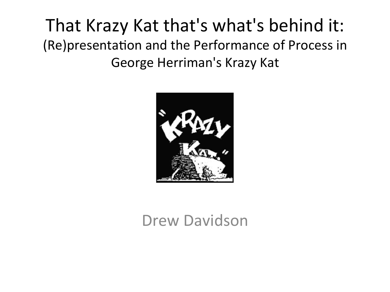#### That Krazy Kat that's what's behind it: (Re)presentation and the Performance of Process in George Herriman's Krazy Kat



#### Drew Davidson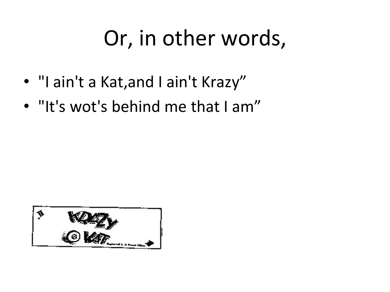# Or, in other words,

- "I ain't a Kat, and I ain't Krazy"
- "It's wot's behind me that I am"

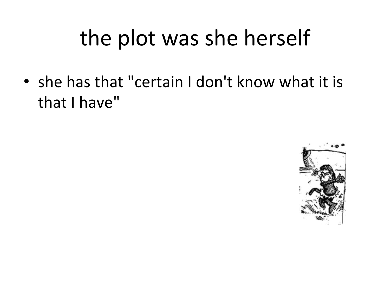# the plot was she herself

• she has that "certain I don't know what it is that I have"

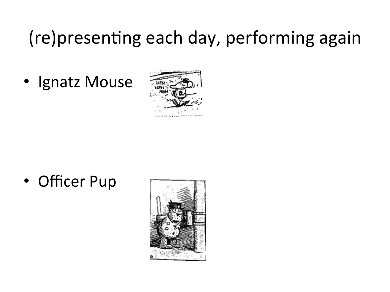#### (re)presenting each day, performing again

• Ignatz Mouse



• Officer Pup

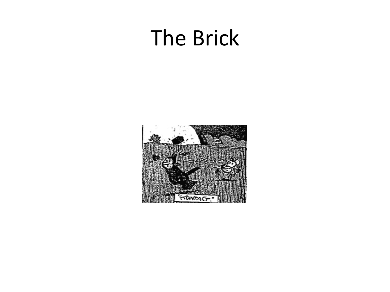### **The Brick**

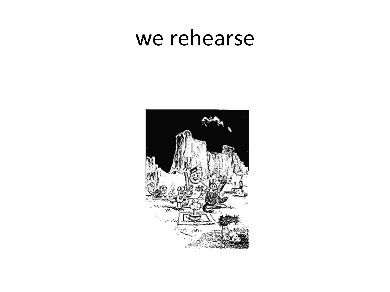#### we rehearse

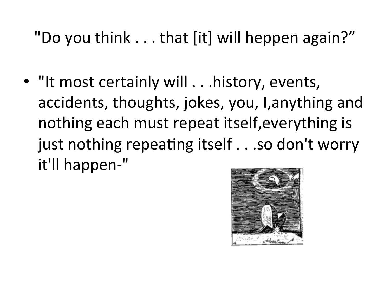"Do you think . . . that [it] will heppen again?"

• "It most certainly will . . . history, events, accidents, thoughts, jokes, you, I, anything and nothing each must repeat itself, everything is just nothing repeating itself . . .so don't worry it'll happen-"

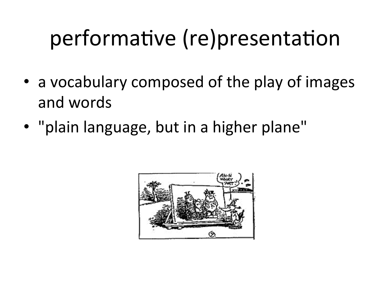# performative (re)presentation

- a vocabulary composed of the play of images and words
- "plain language, but in a higher plane"

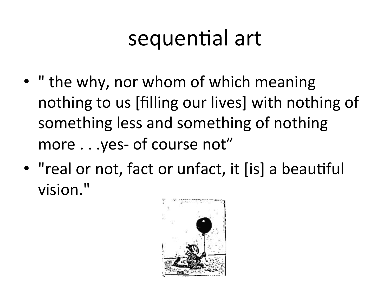## sequential art

- " the why, nor whom of which meaning nothing to us [filling our lives] with nothing of something less and something of nothing more . . . yes- of course not"
- "real or not, fact or unfact, it [is] a beautiful vision."

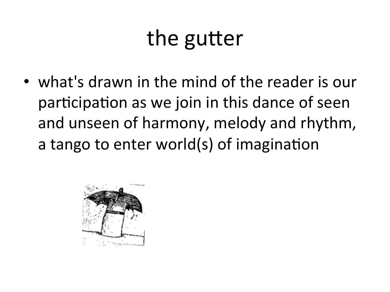## the gutter

• what's drawn in the mind of the reader is our participation as we join in this dance of seen and unseen of harmony, melody and rhythm, a tango to enter world(s) of imagination

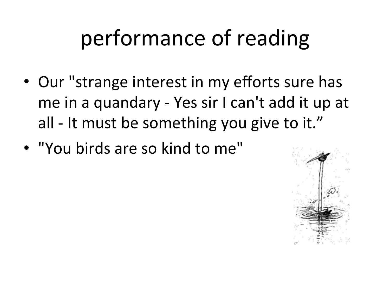# performance of reading

- Our "strange interest in my efforts sure has me in a quandary - Yes sir I can't add it up at all - It must be something you give to it."
- "You birds are so kind to me"

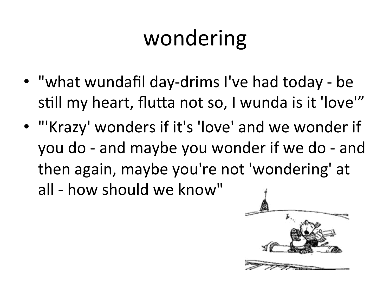# wondering

- "what wundafil day-drims I've had today be still my heart, flutta not so, I wunda is it 'love'"
- "'Krazy' wonders if it's 'love' and we wonder if you do - and maybe you wonder if we do - and then again, maybe you're not 'wondering' at all - how should we know"

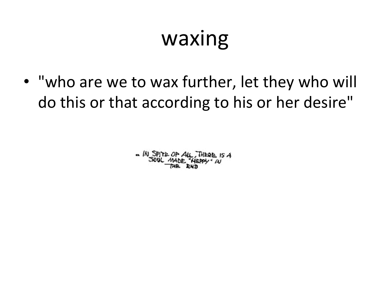## waxing

• "who are we to wax further, let they who will do this or that according to his or her desire"

 $M$  SPITE OF  $A\mu$ , THERE IS A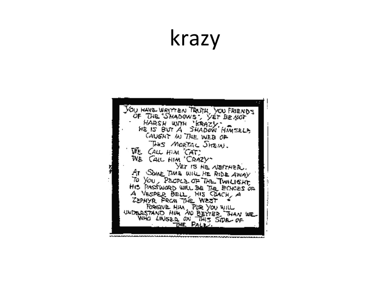### krazy